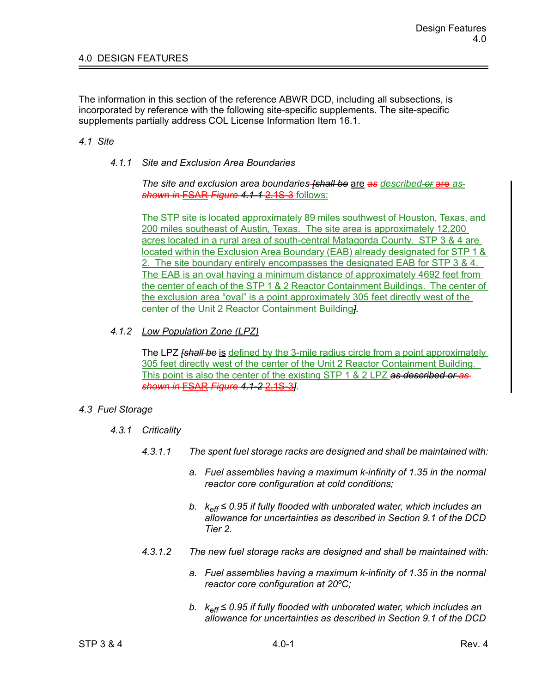The information in this section of the reference ABWR DCD, including all subsections, is incorporated by reference with the following site-specific supplements. The site-specific supplements partially address COL License Information Item 16.1.

## *4.1 Site*

## *4.1.1 Site and Exclusion Area Boundaries*

*The site and exclusion area boundaries [shall be* are *as described or* are *as shown in* FSAR *Figure 4.1-1* 2.1S-3 follows:

The STP site is located approximately 89 miles southwest of Houston, Texas, and 200 miles southeast of Austin, Texas. The site area is approximately 12,200 acres located in a rural area of south-central Matagorda County. STP 3 & 4 are located within the Exclusion Area Boundary (EAB) already designated for STP 1 & 2. The site boundary entirely encompasses the designated EAB for STP 3 & 4. The EAB is an oval having a minimum distance of approximately 4692 feet from the center of each of the STP 1 & 2 Reactor Containment Buildings. The center of the exclusion area "oval" is a point approximately 305 feet directly west of the center of the Unit 2 Reactor Containment Building*].*

## *4.1.2 Low Population Zone (LPZ)*

The LPZ *[shall be* is defined by the 3-mile radius circle from a point approximately 305 feet directly west of the center of the Unit 2 Reactor Containment Building. This point is also the center of the existing STP 1 & 2 LPZ *as described or as shown in* FSAR *Figure 4.1-2* 2.1S-3*].*

## *4.3 Fuel Storage*

- *4.3.1 Criticality*
	- *4.3.1.1 The spent fuel storage racks are designed and shall be maintained with:*
		- *a. Fuel assemblies having a maximum k-infinity of 1.35 in the normal reactor core configuration at cold conditions;*
		- *b. keff ≤ 0.95 if fully flooded with unborated water, which includes an allowance for uncertainties as described in Section 9.1 of the DCD Tier 2.*
	- *4.3.1.2 The new fuel storage racks are designed and shall be maintained with:*
		- *a. Fuel assemblies having a maximum k-infinity of 1.35 in the normal reactor core configuration at 20ºC;*
		- *b. keff ≤ 0.95 if fully flooded with unborated water, which includes an allowance for uncertainties as described in Section 9.1 of the DCD*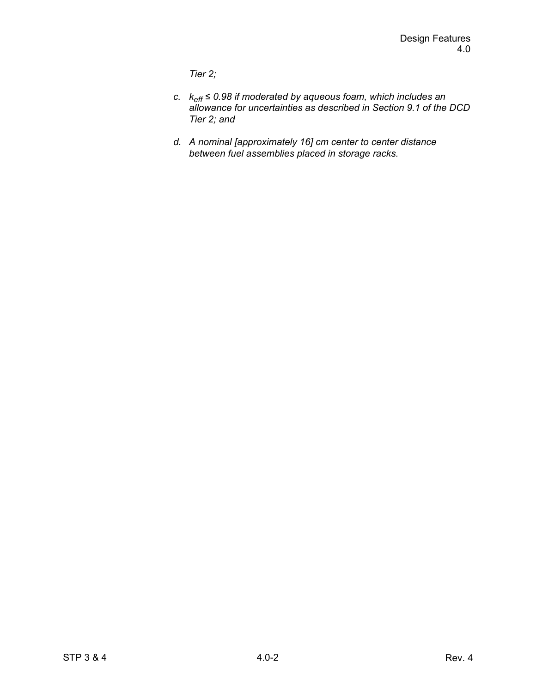*Tier 2;*

- *c. keff ≤ 0.98 if moderated by aqueous foam, which includes an allowance for uncertainties as described in Section 9.1 of the DCD Tier 2; and*
- *d. A nominal [approximately 16] cm center to center distance between fuel assemblies placed in storage racks.*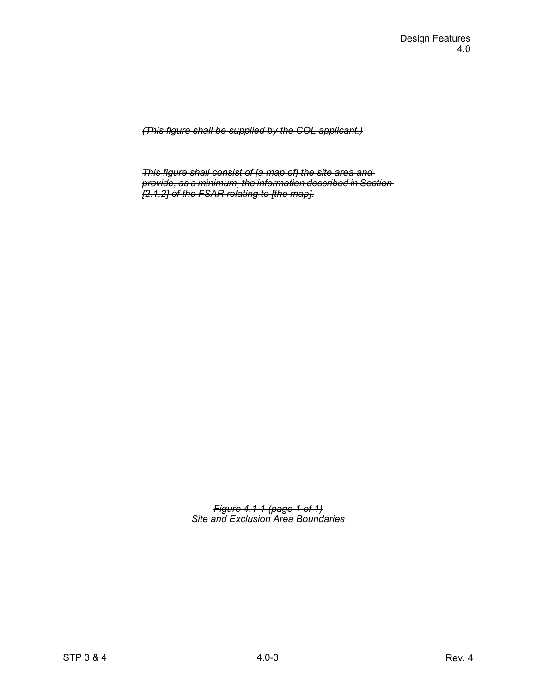